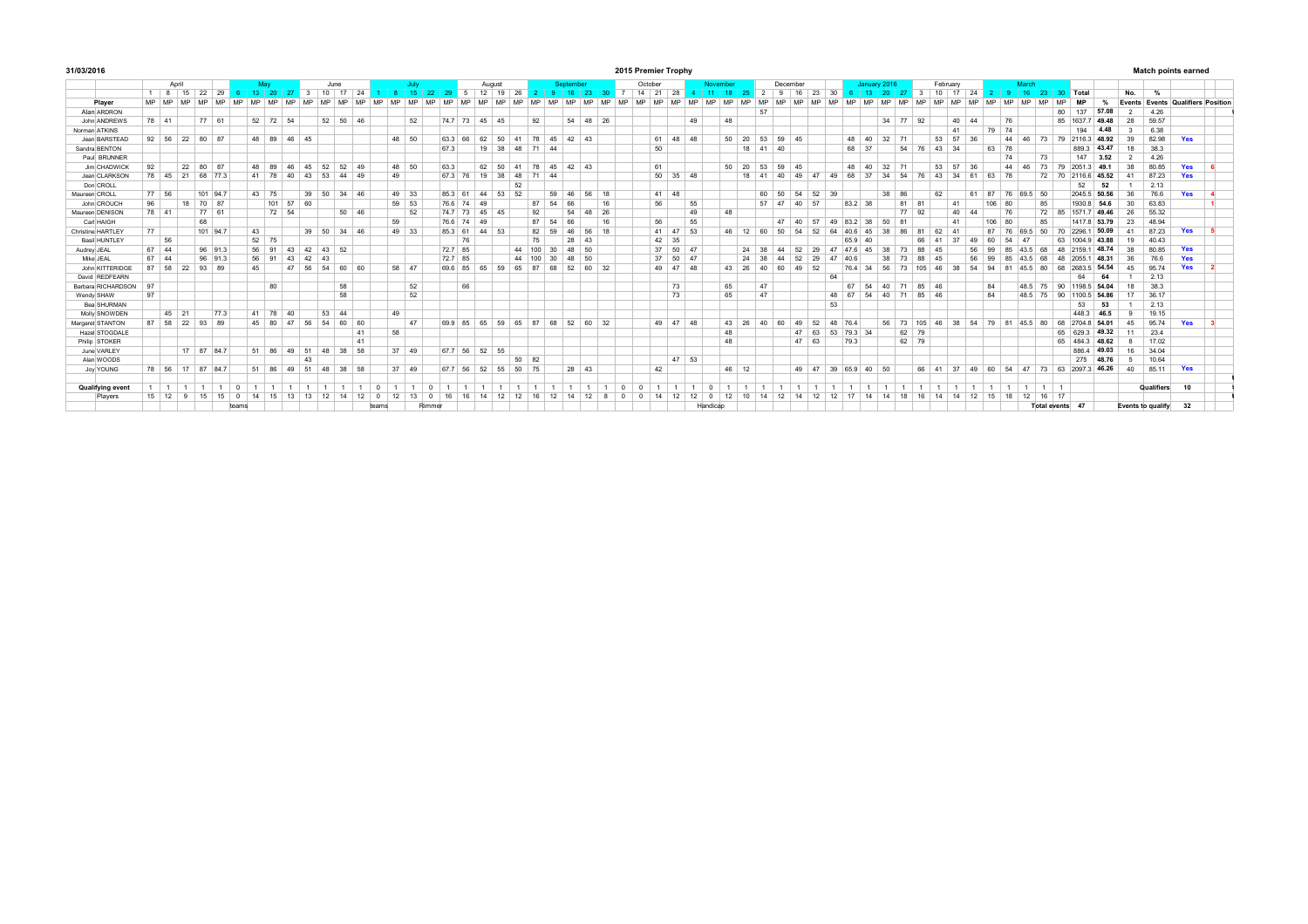| 31/03/2016            |    |              |           |                |           |      |            |       |                 |                          |    |               |           |           |              |               |                        |         |         |               |        |           |            |           |                 |           |             |          | 2015 Premier Trophy |                        |       |                        |           |                 |                |           |          |       |               |           |              |           |                |           |          |        |                 |              |                        |         |                   |                    |              |                |                   |               | <b>Match points earned</b>               |  |
|-----------------------|----|--------------|-----------|----------------|-----------|------|------------|-------|-----------------|--------------------------|----|---------------|-----------|-----------|--------------|---------------|------------------------|---------|---------|---------------|--------|-----------|------------|-----------|-----------------|-----------|-------------|----------|---------------------|------------------------|-------|------------------------|-----------|-----------------|----------------|-----------|----------|-------|---------------|-----------|--------------|-----------|----------------|-----------|----------|--------|-----------------|--------------|------------------------|---------|-------------------|--------------------|--------------|----------------|-------------------|---------------|------------------------------------------|--|
|                       |    |              | April     |                |           |      |            |       |                 |                          |    | June          |           |           |              |               | July                   |         |         |               | August |           |            |           | Sentember       |           |             |          | October             |                        |       |                        | November  |                 |                |           | December |       |               |           | January 2016 |           |                |           | February |        |                 |              | March                  |         |                   |                    |              |                |                   |               |                                          |  |
|                       |    |              | 8 15      | 22             | 29        |      | $\vert$ 13 |       | 20 <sup>1</sup> | $\overline{\phantom{a}}$ |    | $10 \quad 17$ |           | 24        |              |               | 15                     | 22   29 |         | 5 12 19       |        | 26        |            |           | 16 <sup>1</sup> | 23        | $30 \mid 7$ |          | $14$ 21             |                        | 28    | $4 \mid 11 \mid$       | $-18$     | -25             | 2 <sup>1</sup> | ∣ Q       | 16       | 23    | 30            |           | 6 13 20 27   |           |                |           | 3 10 17  |        | 24              |              |                        |         |                   | 2 9 16 23 30 Total |              | No.            |                   | $\frac{9}{6}$ |                                          |  |
| Player                | MP | <b>MD</b>    | <b>MD</b> | <b>MD</b>      | <b>MD</b> | A 4D | A 4D       |       | <b>MD</b>       | A4D                      |    |               | <b>MD</b> | <b>MD</b> | A 4D<br>A 4D |               | <b>MD</b><br><b>MD</b> | A 4D    |         |               |        | <b>MC</b> | <b>AAD</b> | <b>MD</b> | A 4D            | <b>MD</b> | A 4 EX      |          |                     | M <sub>D</sub><br>A 4D |       | <b>MD</b><br><b>MD</b> | <b>MD</b> | <b>MD</b>       | <b>MD</b>      | <b>MD</b> |          |       |               | <b>MD</b> | A 4D         | <b>MD</b> | <b>MD</b>      | <b>MD</b> | A4D      | MD.    | <b>MD</b>       | <b>MD</b>    | <b>MD</b><br><b>MD</b> |         | A 4D<br><b>MD</b> |                    |              |                |                   |               | <b>Events Events Qualifiers Position</b> |  |
| Alan ARDRON           |    |              |           |                |           |      |            |       |                 |                          |    |               |           |           |              |               |                        |         |         |               |        |           |            |           |                 |           |             |          |                     |                        |       |                        |           |                 | 57             |           |          |       |               |           |              |           |                |           |          |        |                 |              |                        |         | 80                | 137                | 57.08        | $\overline{2}$ |                   | 4.26          |                                          |  |
| John ANDREWS          |    | 78 41        |           |                | 77 61     |      |            |       | 52 72 54        |                          |    | 52 50 46      |           |           |              |               | 52                     |         |         | 74 7 73 45 45 |        |           | 92         |           |                 | 54 48 26  |             |          |                     |                        |       | 49                     | 48        |                 |                |           |          |       |               |           |              |           | 34 77 92       |           |          | $40-1$ | 44              |              | 76                     |         | 85                | 16377              | 49.48        | 28             |                   | 59.57         |                                          |  |
| Norman ATKINS         |    |              |           |                |           |      |            |       |                 |                          |    |               |           |           |              |               |                        |         |         |               |        |           |            |           |                 |           |             |          |                     |                        |       |                        |           |                 |                |           |          |       |               |           |              |           |                |           |          | 41     |                 | 79           | 74                     |         |                   | 194                | 448          | -3             |                   | 6.38          |                                          |  |
| Jean BARSTEAD         |    |              |           | 92 56 22 80 87 |           |      |            |       | 48 89 46 45     |                          |    |               |           |           |              | 48 50         |                        | 63.3    | 66      | 62            | 50     | 41        |            |           | 78 45 42 43     |           |             |          |                     | 61 48 48               |       |                        | 50        | 20              |                |           | 53 59 45 |       |               |           | 48 40        | 32        | 71             |           | 53 57    |        | 36              |              | 44<br>46               |         |                   | 73 79 2116.3 48.92 |              | 39             |                   | 82.98         | Yes                                      |  |
| Sandra BENTON         |    |              |           |                |           |      |            |       |                 |                          |    |               |           |           |              |               |                        | 67.3    |         |               | 19 38  |           | 48 71 44   |           |                 |           |             |          |                     | 50                     |       |                        |           | 18              |                | $41 \ 40$ |          |       |               | 68 37     |              |           |                | 54 76     | 43 34    |        |                 | 63 78        |                        |         |                   | 889.3              | 43.47        | 18             |                   | 38.3          |                                          |  |
| Paul BRUNNER          |    |              |           |                |           |      |            |       |                 |                          |    |               |           |           |              |               |                        |         |         |               |        |           |            |           |                 |           |             |          |                     |                        |       |                        |           |                 |                |           |          |       |               |           |              |           |                |           |          |        |                 |              | 74                     |         | 73                | 147                | 3.52         | $\overline{2}$ |                   | 4.26          |                                          |  |
| Jim CHADWICK          | 92 |              |           | 22 80 87       |           |      |            | 48 89 |                 | 46                       |    | 45 52 52      |           | 49        |              | 48 50         |                        | 63.3    |         |               | 62 50  | 41        | 78         |           | 45 42 43        |           |             |          |                     | 61                     |       |                        |           | 50 20           | 53             |           | 59 45    |       |               |           | 48 40        | 32        | 71             |           | 53 57    |        | 36              |              | 44<br>46               |         | 73<br>79          | 20513              | 491          | 38             |                   | 80.85         | Yes                                      |  |
| Jean CLARKSON         |    | 78 45 21     |           |                | 68 77.3   |      |            | 41 78 | 40              |                          | 43 | 53            | 44        | 49        | 49           |               |                        |         | 67 3 76 | 19            | 38     | 48        | 71         | 44        |                 |           |             |          |                     | 50 35 48               |       |                        |           | 18              | 41             | 40        | 49       | 47    | 49            | 68        | 37           | 34        | 54             | 76        | 43       | 34     | 61              | 63           | 78                     |         | 72                | 70 2116 6 45.52    |              | 41             |                   | 87.23         | Yes                                      |  |
| Don CROLL             |    |              |           |                |           |      |            |       |                 |                          |    |               |           |           |              |               |                        |         |         |               |        | 52        |            |           |                 |           |             |          |                     |                        |       |                        |           |                 |                |           |          |       |               |           |              |           |                |           |          |        |                 |              |                        |         |                   | 52                 | 52           |                |                   | 2.13          |                                          |  |
| Maureen CROLL         |    | 77 56        |           |                | 101 947   |      |            | 43 75 |                 |                          | 39 | 50 34 46      |           |           |              | 49 33         |                        |         | 85.3 61 | 44            | 53     | 52        |            | 59        | 46              | 56 18     |             |          |                     | 41 48                  |       |                        |           |                 | 60             | 50        | 54       | 52    | 39            |           |              | 38 86     |                |           | 62       |        | 61              | 87           | 76                     | 69.5 50 |                   |                    | 2045 5 50.56 | 36             |                   | 76.6          | Yes                                      |  |
| John CROUCH           | 96 |              | 18        |                | 70 87     |      |            |       | 101             | 57                       | 60 |               |           |           |              | 59 53         |                        |         | 76.6 74 | 49            |        |           | 87         | 54        | 66              |           | 16          |          |                     | 56                     |       | 55                     |           |                 |                | 57 47     | 40       | 57    |               | 83.2 38   |              |           | 81             | 81        |          | 41     |                 | 106          | 80                     |         | 85                | 1930.8             | 54.6         | 30             |                   | 63.83         |                                          |  |
| Maureen DENISON       |    | 78 41        |           |                | 77 61     |      |            |       | 72 54           |                          |    |               | 50 46     |           |              |               | 52                     |         | 74.7 73 |               | 45 45  |           | 92         |           | 54              | 48 26     |             |          |                     |                        |       | 49                     | 48        |                 |                |           |          |       |               |           |              |           | 77             | 92        |          | 40     | 44              |              | 76                     |         | 72<br>85          |                    | 15717 49.46  | 26             |                   | 55.32         |                                          |  |
| Carl HAIGH            |    |              |           | 68             |           |      |            |       |                 |                          |    |               |           |           | 59           |               |                        |         | 766 74  | 49            |        |           | 87         | 54        | 66              |           | 16          |          |                     | 56                     |       | 55                     |           |                 |                | 47        | 40       | 57    | 49            | 83 2 38   |              | 50        | R <sup>1</sup> |           |          | 41     |                 | 106          | 80                     |         | 85                | 14178              | 53.79        | 23             |                   | 48.94         |                                          |  |
| Christine HARTLEY     | 77 |              |           |                | 101 94.7  |      |            | 43    |                 |                          |    | 39 50 34 46   |           |           |              | 49 33         |                        |         | 85.3 61 |               | 44 53  |           | 82         | 59        | 46              | 56 18     |             |          |                     | $-47$<br>41            | 53    |                        |           | 46 12           | 60             | 50        | 54       | 52    | $\mathsf{R}'$ | 40 F      |              |           | 86             |           | 62       |        |                 | 87           | 76                     | 69.5    | 50<br>70          | 2296.1             | 50.09        | 41             |                   | 87.23         | Yes                                      |  |
| Basil HUNTLEY         |    | 56           |           |                |           |      |            | 52 75 |                 |                          |    |               |           |           |              |               |                        |         | 76      |               |        |           | 75         |           | 28              | 43        |             |          |                     | 42 35                  |       |                        |           |                 |                |           |          |       |               | 65.9 40   |              |           |                | 66        | 41       | 27     | 60<br>49        |              | 54                     |         | 63                |                    | 1004 9 43.88 | 19             |                   | 40.43         |                                          |  |
| Audrey JEAL           |    | 67 44        |           |                | 96 91.3   |      |            | 56    | Q <sub>1</sub>  | 43                       | 42 | 43 52         |           |           |              |               |                        |         | 72.7 85 |               |        | 44        | 100        | 30        | 48              | 50        |             |          |                     | 37 50 47               |       |                        |           | 24              | 38             | AA        | 52       | 29    | A7            | 476       | 45           | 38        | 73             | 88        | 45       |        | 56<br><b>QQ</b> |              | 8F                     |         | 68<br>48          | 2159               | 48.74        | 38             |                   | 80.85         | Yes                                      |  |
| Mike JEAL             | 67 | 44           |           |                | 96 91.3   |      |            | 56    | 91              | 43                       | 42 | 43            |           |           |              |               |                        | 72.7 85 |         |               |        | 44        | 100        | 30        | 48              | 50        |             |          |                     | 37<br>50               | 47    |                        |           | 24              | 38             |           |          | 29    |               | 406       |              | 38        | 73             | 88        |          |        | 56<br><b>QQ</b> |              | 85                     |         | 68<br>48          | 2055               | 48.31        | 36             |                   | 76.6          | Yes                                      |  |
| John KITTERIDGE       |    | 87 58        | 22        |                | 93 89     |      |            | 45    |                 | 47                       | 56 | 54            | 60        | 60        |              | 58 47         |                        | 69.6    | 85      | 65            | 59     | 65        | 87         | 68        | 52              | 60        | 32          |          |                     | 49 47                  | 48    |                        | 43        | 26              | 40             | 60        | 49       | 52    |               | 764       | 34           | 56        | 73             | 105       | 46       | 38     | 54              | $Q_{\Delta}$ | $\mathbb{R}^n$         |         | 80<br>68          | 2683.5             | <b>54.54</b> | 45             |                   | 95.74         | Yes                                      |  |
| David REDFEARN        |    |              |           |                |           |      |            |       |                 |                          |    |               |           |           |              |               |                        |         |         |               |        |           |            |           |                 |           |             |          |                     |                        |       |                        |           |                 |                |           |          |       | 64            |           |              |           |                |           |          |        |                 |              |                        |         |                   | 64                 | 64           |                |                   | 2.13          |                                          |  |
| Barbara RICHARDSON 97 |    |              |           |                |           |      |            |       | 80              |                          |    |               | 58        |           |              |               | 52                     |         | 66      |               |        |           |            |           |                 |           |             |          |                     |                        | 73    |                        | 65        |                 | 47             |           |          |       |               | 67        | 54           | 40        | 71             | 85 46     |          |        |                 | 84           |                        | 48.5 75 | 90                | 1198.5             | 54.04        |                | 18                | 38.3          |                                          |  |
| Wendy SHAW            | 97 |              |           |                |           |      |            |       |                 |                          |    |               | 58        |           |              |               | 52                     |         |         |               |        |           |            |           |                 |           |             |          |                     |                        | 73    |                        | 65        |                 | 47             |           |          |       |               | 48 67     | 54           | 40        | 71             | 85 46     |          |        |                 | 84           |                        |         | 48.5 75 90        |                    | 1100.5 54.86 | 17             |                   | 36.17         |                                          |  |
| Bea SHURMAN           |    |              |           |                |           |      |            |       |                 |                          |    |               |           |           |              |               |                        |         |         |               |        |           |            |           |                 |           |             |          |                     |                        |       |                        |           |                 |                |           |          |       | 53            |           |              |           |                |           |          |        |                 |              |                        |         |                   | 53                 | 53           |                |                   | 2.13          |                                          |  |
| Molly SNOWDEN         |    |              | 45 21     |                | 773       |      |            | 41 78 | 40              |                          |    | 53 44         |           |           | 49           |               |                        |         |         |               |        |           |            |           |                 |           |             |          |                     |                        |       |                        |           |                 |                |           |          |       |               |           |              |           |                |           |          |        |                 |              |                        |         |                   | 448.3              | 46.5         |                |                   | 19.15         |                                          |  |
| Margaret STANTON      |    | 87 58 22     |           | 93             | 89        |      |            | 45    | 80              | 47                       | 56 | 54            | 60        | 60        |              | 47            |                        |         | 69.9 85 | 65            | 59     | 65        | 87         | 68        | 52              | 60        | 32          |          |                     | 49 47 48               |       |                        | 43        | 26              | 40             | 60        | 49       | 52    | 48            | 764       |              | 56        | 73             | 105       | AB       | 38     | 54              | 79           | 81                     | 45.5    | 80<br>68          | 2704 R             | 54.01        | 45             |                   | 95.74         | Yes                                      |  |
| Hazel STOGDALE        |    |              |           |                |           |      |            |       |                 |                          |    |               |           | 41        | 58           |               |                        |         |         |               |        |           |            |           |                 |           |             |          |                     |                        |       |                        | 48        |                 |                |           |          | 47 63 | 53            | 79.3 34   |              |           | 62             | 79        |          |        |                 |              |                        |         | 65                | 629.3              | 49.32        | 11             |                   | 23.4          |                                          |  |
| Philip STOKER         |    |              |           |                |           |      |            |       |                 |                          |    |               |           | 41        |              |               |                        |         |         |               |        |           |            |           |                 |           |             |          |                     |                        |       |                        | 48        |                 |                |           |          | 47 63 |               | 79.3      |              |           | 62 79          |           |          |        |                 |              |                        |         | 65                |                    | 484.3 48.62  |                |                   | 17.02         |                                          |  |
| June VARLEY           |    |              |           | 17 87 84.7     |           |      |            | 51    | 86              | 49                       | 51 | 48            | 38        | 58        |              | $37 \quad 49$ |                        | 67.7    | 56      | 52 55         |        |           |            |           |                 |           |             |          |                     |                        |       |                        |           |                 |                |           |          |       |               |           |              |           |                |           |          |        |                 |              |                        |         |                   | 8864               | 49.03        | 16             |                   | 34.04         |                                          |  |
| Alan WOODS            |    |              |           |                |           |      |            |       |                 |                          | 43 |               |           |           |              |               |                        |         |         |               |        |           | 50 82      |           |                 |           |             |          |                     |                        | 47 53 |                        |           |                 |                |           |          |       |               |           |              |           |                |           |          |        |                 |              |                        |         |                   | 275                | 48.76        | 5              |                   | 10.64         |                                          |  |
| Joy YOUNG             |    | 78 56        | 17        |                | 87 84.7   |      |            | 51    | 86              | 49                       | 51 | 48            | 38        | 58        |              | $37$ 49       |                        | 67.7    | 56      | 52            | 55     | 50        | 75         |           |                 | 28 43     |             |          |                     | 42                     |       |                        |           | 46 12           |                |           |          | 49 47 | 39            |           | 65.9 40 50   |           |                | 66 41     |          | 37     | 49              | 60           | 54                     | 47      |                   | 73 63 2097.3 46.26 |              | 40             |                   | 85.11         | Yes                                      |  |
| Qualifying even       |    |              |           |                |           |      |            |       |                 |                          |    |               |           |           |              |               | $\Omega$               |         |         |               |        |           |            |           |                 |           |             | $\Omega$ |                     |                        |       |                        |           |                 |                |           |          |       |               |           |              |           |                |           |          |        |                 |              |                        |         | 111               |                    |              |                |                   | Qualifiers    | 10                                       |  |
| Players               |    | $15 \mid 12$ |           |                | 15        |      |            |       | 15              |                          |    |               |           |           |              |               | 13<br>$\Omega$         |         |         |               |        |           |            |           | 14              | 12        |             |          |                     | 12                     |       |                        | 12        | 10 <sup>1</sup> | 14             |           | 14       | 12    | 12            | 17        | 14           | 14        | 18             | 16        | 14       | 14     | 12 15           |              | 18                     | 12      | 16 17             |                    |              |                |                   |               |                                          |  |
|                       |    |              |           |                |           |      | teams      |       |                 |                          |    |               |           |           | teams        |               | Rimmer                 |         |         |               |        |           |            |           |                 |           |             |          |                     |                        |       | Handicap               |           |                 |                |           |          |       |               |           |              |           |                |           |          |        |                 |              |                        |         |                   | Total events 47    |              |                | Events to qualify |               | 32                                       |  |